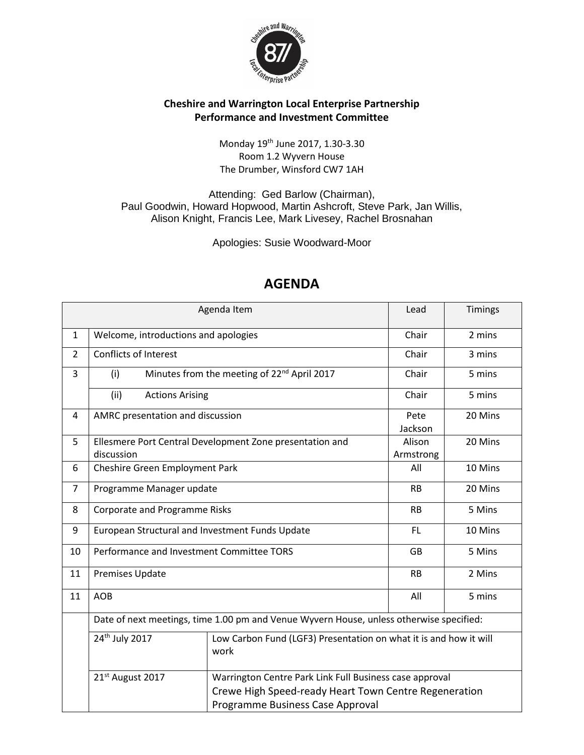

## **Cheshire and Warrington Local Enterprise Partnership Performance and Investment Committee**

Monday 19th June 2017, 1.30-3.30 Room 1.2 Wyvern House [The Drumber, Winsford CW7 1AH](https://www.bing.com/local?lid=YN1029x5241602937823607499&id=YN1029x5241602937823607499&q=Wyvern+House&name=Wyvern+House&cp=53.1899757385254%7e-2.52635097503662&ppois=53.1899757385254_-2.52635097503662_Wyvern+House&FORM=SNAPST)

Attending: Ged Barlow (Chairman), Paul Goodwin, Howard Hopwood, Martin Ashcroft, Steve Park, Jan Willis, Alison Knight, Francis Lee, Mark Livesey, Rachel Brosnahan

Apologies: Susie Woodward-Moor

| Agenda Item                                                                                                                                      |                                                                           |                                                                                                                       | Timings                 |
|--------------------------------------------------------------------------------------------------------------------------------------------------|---------------------------------------------------------------------------|-----------------------------------------------------------------------------------------------------------------------|-------------------------|
| Welcome, introductions and apologies                                                                                                             |                                                                           | Chair                                                                                                                 | 2 mins                  |
| <b>Conflicts of Interest</b><br>$\overline{2}$                                                                                                   |                                                                           | Chair                                                                                                                 | 3 mins                  |
| (i)                                                                                                                                              |                                                                           | Chair                                                                                                                 | 5 mins                  |
| (ii)                                                                                                                                             |                                                                           | Chair                                                                                                                 | 5 mins                  |
| AMRC presentation and discussion<br>4                                                                                                            |                                                                           |                                                                                                                       | 20 Mins                 |
| Ellesmere Port Central Development Zone presentation and<br>5                                                                                    |                                                                           | Alison                                                                                                                | 20 Mins                 |
| discussion                                                                                                                                       |                                                                           | Armstrong                                                                                                             |                         |
| Cheshire Green Employment Park                                                                                                                   |                                                                           | All                                                                                                                   | 10 Mins                 |
| Programme Manager update                                                                                                                         |                                                                           | <b>RB</b>                                                                                                             | 20 Mins                 |
| <b>Corporate and Programme Risks</b>                                                                                                             |                                                                           | <b>RB</b>                                                                                                             | 5 Mins                  |
| European Structural and Investment Funds Update                                                                                                  |                                                                           | FL                                                                                                                    | 10 Mins                 |
| Performance and Investment Committee TORS                                                                                                        |                                                                           | <b>GB</b>                                                                                                             | 5 Mins                  |
| <b>Premises Update</b>                                                                                                                           |                                                                           | <b>RB</b>                                                                                                             | 2 Mins                  |
| <b>AOB</b>                                                                                                                                       |                                                                           | All                                                                                                                   | 5 mins                  |
| Date of next meetings, time 1.00 pm and Venue Wyvern House, unless otherwise specified:                                                          |                                                                           |                                                                                                                       |                         |
| 24 <sup>th</sup> July 2017                                                                                                                       | Low Carbon Fund (LGF3) Presentation on what it is and how it will<br>work |                                                                                                                       |                         |
| 21 <sup>st</sup> August 2017<br>Warrington Centre Park Link Full Business case approval<br>Crewe High Speed-ready Heart Town Centre Regeneration |                                                                           |                                                                                                                       |                         |
|                                                                                                                                                  |                                                                           | Minutes from the meeting of 22 <sup>nd</sup> April 2017<br><b>Actions Arising</b><br>Programme Business Case Approval | Lead<br>Pete<br>Jackson |

## **AGENDA**